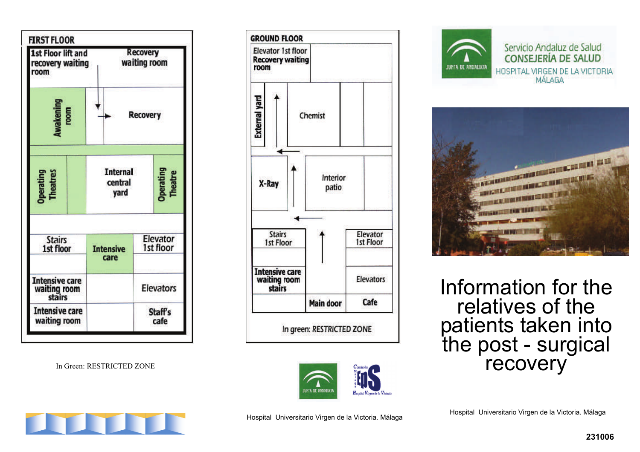

In Green: RESTRICTED ZONE









Escriba la consigna aqu í. Information for the relatives of the patients taken into<br>the post - surgical recovery



Hospital Universitario Virgen de la Victoria. Málaga